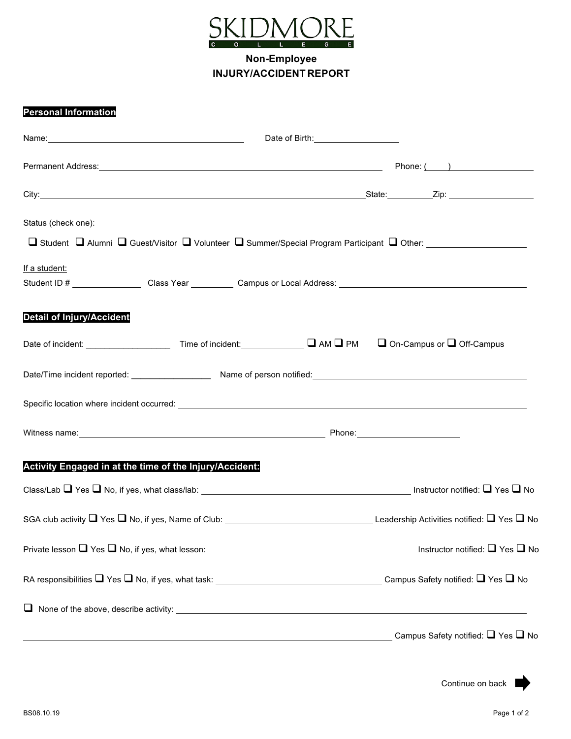

**Non-Employee INJURY/ACCIDENT REPORT**

## **Personal Information**

|                                                         | Date of Birth: 1999                                                                                                                                                                                                                  |
|---------------------------------------------------------|--------------------------------------------------------------------------------------------------------------------------------------------------------------------------------------------------------------------------------------|
|                                                         | Permanent Address: <u>and a series of the series of the series of the series of the series of the series of the series of the series of the series of the series of the series of the series of the series of the series of the </u> |
|                                                         |                                                                                                                                                                                                                                      |
| Status (check one):                                     | □ Student □ Alumni □ Guest/Visitor □ Volunteer □ Summer/Special Program Participant □ Other: _________________                                                                                                                       |
| If a student:                                           | Student ID # _________________Class Year ___________Campus or Local Address: _________________________________                                                                                                                       |
| <b>Detail of Injury/Accident</b>                        |                                                                                                                                                                                                                                      |
|                                                         |                                                                                                                                                                                                                                      |
|                                                         |                                                                                                                                                                                                                                      |
|                                                         |                                                                                                                                                                                                                                      |
|                                                         |                                                                                                                                                                                                                                      |
| Activity Engaged in at the time of the Injury/Accident: |                                                                                                                                                                                                                                      |
|                                                         |                                                                                                                                                                                                                                      |
|                                                         |                                                                                                                                                                                                                                      |
|                                                         |                                                                                                                                                                                                                                      |
|                                                         |                                                                                                                                                                                                                                      |
|                                                         | $\Box$ None of the above, describe activity:                                                                                                                                                                                         |
|                                                         |                                                                                                                                                                                                                                      |